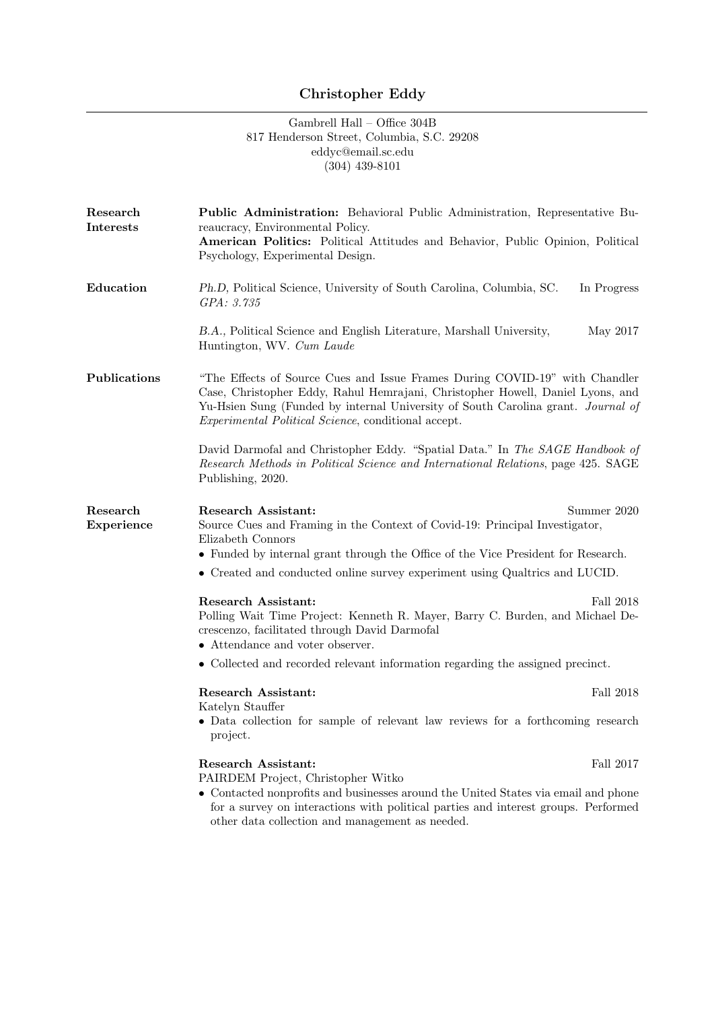## Christopher Eddy

## Gambrell Hall – Office 304B 817 Henderson Street, Columbia, S.C. 29208 eddyc@email.sc.edu (304) 439-8101

| Research<br><b>Interests</b> | <b>Public Administration:</b> Behavioral Public Administration, Representative Bu-<br>reaucracy, Environmental Policy.<br>American Politics: Political Attitudes and Behavior, Public Opinion, Political<br>Psychology, Experimental Design.                                                                     |
|------------------------------|------------------------------------------------------------------------------------------------------------------------------------------------------------------------------------------------------------------------------------------------------------------------------------------------------------------|
| Education                    | Ph.D, Political Science, University of South Carolina, Columbia, SC.<br>In Progress<br>GPA: 3.735                                                                                                                                                                                                                |
|                              | B.A., Political Science and English Literature, Marshall University,<br>May 2017<br>Huntington, WV. Cum Laude                                                                                                                                                                                                    |
| Publications                 | "The Effects of Source Cues and Issue Frames During COVID-19" with Chandler<br>Case, Christopher Eddy, Rahul Hemrajani, Christopher Howell, Daniel Lyons, and<br>Yu-Hsien Sung (Funded by internal University of South Carolina grant. Journal of<br><i>Experimental Political Science</i> , conditional accept. |
|                              | David Darmofal and Christopher Eddy. "Spatial Data." In The SAGE Handbook of<br>Research Methods in Political Science and International Relations, page 425. SAGE<br>Publishing, 2020.                                                                                                                           |
| Research<br>Experience       | <b>Research Assistant:</b><br>Summer 2020<br>Source Cues and Framing in the Context of Covid-19: Principal Investigator,<br>Elizabeth Connors<br>• Funded by internal grant through the Office of the Vice President for Research.                                                                               |
|                              | • Created and conducted online survey experiment using Qualtrics and LUCID.                                                                                                                                                                                                                                      |
|                              | <b>Research Assistant:</b><br>Fall 2018<br>Polling Wait Time Project: Kenneth R. Mayer, Barry C. Burden, and Michael De-<br>crescenzo, facilitated through David Darmofal<br>• Attendance and voter observer.                                                                                                    |
|                              | • Collected and recorded relevant information regarding the assigned precinct.                                                                                                                                                                                                                                   |
|                              | <b>Research Assistant:</b><br>Fall 2018<br>Katelyn Stauffer<br>• Data collection for sample of relevant law reviews for a forthcoming research<br>project.                                                                                                                                                       |
|                              | <b>Research Assistant:</b><br>Fall 2017<br>PAIRDEM Project, Christopher Witko<br>• Contacted nonprofits and businesses around the United States via email and phone<br>for a survey on interactions with political parties and interest groups. Performed<br>other data collection and management as needed.     |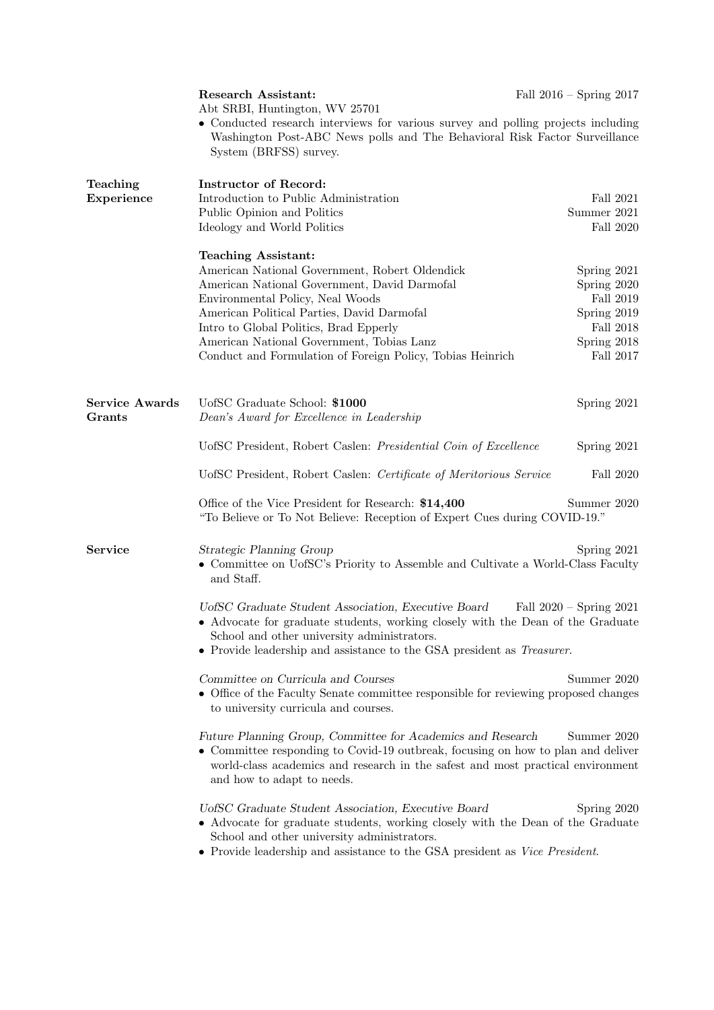|                       | Research Assistant:<br>Abt SRBI, Huntington, WV 25701<br>• Conducted research interviews for various survey and polling projects including                                                                                                                                                     | Fall $2016$ – Spring $2017$ |  |
|-----------------------|------------------------------------------------------------------------------------------------------------------------------------------------------------------------------------------------------------------------------------------------------------------------------------------------|-----------------------------|--|
|                       | Washington Post-ABC News polls and The Behavioral Risk Factor Surveillance<br>System (BRFSS) survey.                                                                                                                                                                                           |                             |  |
| Teaching              | <b>Instructor of Record:</b>                                                                                                                                                                                                                                                                   |                             |  |
| Experience            | Introduction to Public Administration<br>Public Opinion and Politics                                                                                                                                                                                                                           | Fall 2021<br>Summer 2021    |  |
|                       | Ideology and World Politics                                                                                                                                                                                                                                                                    | Fall 2020                   |  |
|                       | <b>Teaching Assistant:</b>                                                                                                                                                                                                                                                                     |                             |  |
|                       | American National Government, Robert Oldendick                                                                                                                                                                                                                                                 | Spring 2021                 |  |
|                       | American National Government, David Darmofal                                                                                                                                                                                                                                                   | Spring 2020                 |  |
|                       | Environmental Policy, Neal Woods                                                                                                                                                                                                                                                               | Fall 2019                   |  |
|                       | American Political Parties, David Darmofal                                                                                                                                                                                                                                                     | Spring 2019                 |  |
|                       | Intro to Global Politics, Brad Epperly                                                                                                                                                                                                                                                         | Fall 2018                   |  |
|                       | American National Government, Tobias Lanz<br>Conduct and Formulation of Foreign Policy, Tobias Heinrich                                                                                                                                                                                        | Spring 2018<br>Fall 2017    |  |
|                       |                                                                                                                                                                                                                                                                                                |                             |  |
| <b>Service Awards</b> | UofSC Graduate School: \$1000                                                                                                                                                                                                                                                                  | Spring 2021                 |  |
| Grants                | Dean's Award for Excellence in Leadership                                                                                                                                                                                                                                                      |                             |  |
|                       | UofSC President, Robert Caslen: Presidential Coin of Excellence                                                                                                                                                                                                                                | Spring 2021                 |  |
|                       | UofSC President, Robert Caslen: Certificate of Meritorious Service                                                                                                                                                                                                                             | Fall 2020                   |  |
|                       | Office of the Vice President for Research: \$14,400<br>"To Believe or To Not Believe: Reception of Expert Cues during COVID-19."                                                                                                                                                               | Summer 2020                 |  |
| <b>Service</b>        | Strategic Planning Group<br>• Committee on UofSC's Priority to Assemble and Cultivate a World-Class Faculty<br>and Staff.                                                                                                                                                                      | Spring 2021                 |  |
|                       | UofSC Graduate Student Association, Executive Board<br>Fall $2020$ – Spring $2021$<br>• Advocate for graduate students, working closely with the Dean of the Graduate<br>School and other university administrators.<br>• Provide leadership and assistance to the GSA president as Treasurer. |                             |  |
|                       | Committee on Curricula and Courses                                                                                                                                                                                                                                                             | Summer 2020                 |  |
|                       | • Office of the Faculty Senate committee responsible for reviewing proposed changes<br>to university curricula and courses.                                                                                                                                                                    |                             |  |
|                       | Future Planning Group, Committee for Academics and Research<br>Summer 2020<br>• Committee responding to Covid-19 outbreak, focusing on how to plan and deliver<br>world-class academics and research in the safest and most practical environment<br>and how to adapt to needs.                |                             |  |
|                       | UofSC Graduate Student Association, Executive Board<br>• Advocate for graduate students, working closely with the Dean of the Graduate<br>School and other university administrators.<br>$\bullet$ Provide leadership and assistance to the GSA president as Vice President.                   | Spring 2020                 |  |
|                       |                                                                                                                                                                                                                                                                                                |                             |  |